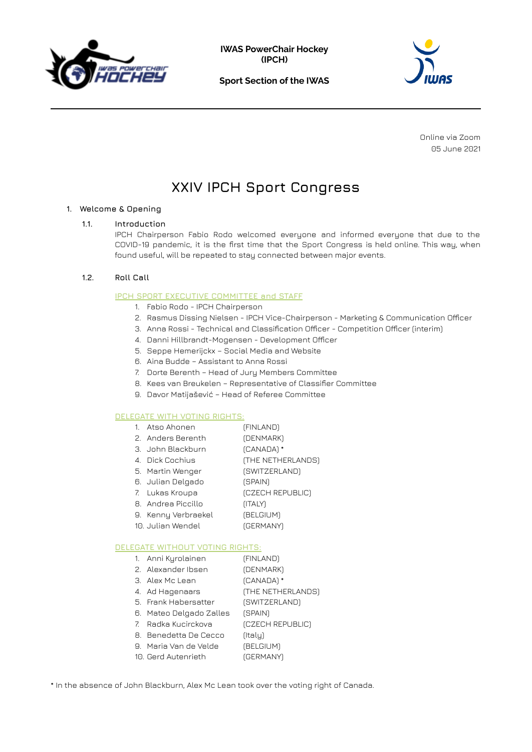





Online via Zoom 05 June 2021

# **XXIV IPCH Sport Congress**

# **1. Welcome & Opening**

# **1.1. Introduction**

IPCH Chairperson Fabio Rodo welcomed everyone and informed everyone that due to the COVID-19 pandemic, it is the first time that the Sport Congress is held online. This way, when found useful, will be repeated to stay connected between major events.

# **1.2. Roll Call**

# **IPCH SPORT EXECUTIVE COMMITTEE and STAFF**

- 1. Fabio Rodo IPCH Chairperson
- 2. Rasmus Dissing Nielsen IPCH Vice-Chairperson Marketing & Communication Officer
- 3. Anna Rossi Technical and Classification Officer Competition Officer (interim)
- 4. Danni Hillbrandt-Mogensen Development Officer
- 5. Seppe Hemerijckx Social Media and Website
- 6. Aina Budde Assistant to Anna Rossi
- 7. Dorte Berenth Head of Jury Members Committee
- 8. Kees van Breukelen Representative of Classifier Committee
- 9. Davor Matijašević Head of Referee Committee

#### **DELEGATE WITH VOTING RIGHTS:**

| Atso Ahonen         | (FINLAND)         |
|---------------------|-------------------|
| 2 Anders Berenth    | (DENMARK)         |
| 3 John Blackhurn    | (CANADA) *        |
| 4 – Dick Cochius    | (THE NETHERLANDS) |
| 5. Martin Wenger    | (SWITZERLAND)     |
| 6. Julian Delgado   | (SPAIN)           |
| 7. Lukas Kroupa     | (CZECH REPUBLIC)  |
| 8 Andrea Piccillo   | (ITALY)           |
| 9. Kenny Verbraekel | (BELGIUM)         |
| 10 Julian Wendel    | <b>(GERMANY)</b>  |
|                     |                   |

#### **DELEGATE WITHOUT VOTING RIGHTS:**

- 1. Anni Kyrolainen (FINLAND) 2. Alexander Ibsen (DENMARK)
- 3. Alex Mc Lean (CANADA) \*
- 4. Ad Hagenaars (THE NETHERLANDS)
- 5. Frank Habersatter (SWITZERLAND)
- 6. Mateo Delgado Zalles (SPAIN)
- 7. Radka Kucirckova (CZECH REPUBLIC)
- 8. Benedetta De Cecco (Italy)
- 9. Maria Van de Velde (BELGIUM)
- 10. Gerd Autenrieth (GERMANY)

\* In the absence of John Blackburn, Alex Mc Lean took over the voting right of Canada.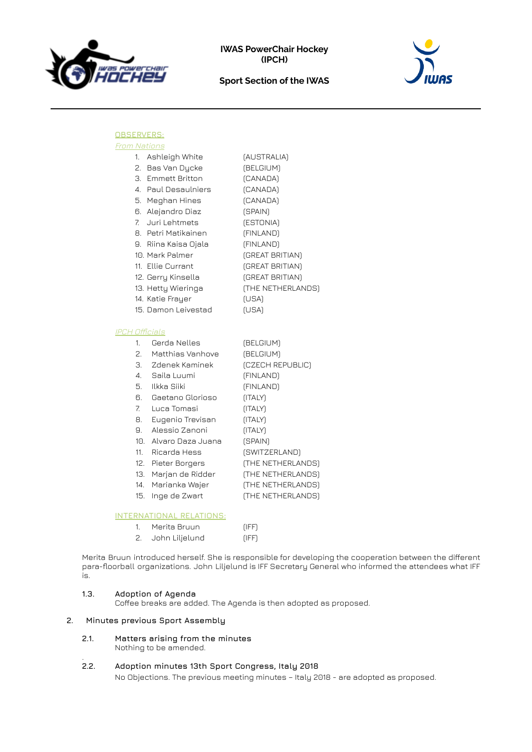



# **OBSERVERS:**

| <b>From Nations</b> |
|---------------------|
|                     |

| 1.             | Ashleigh White       | (AUSTRALIA)       |
|----------------|----------------------|-------------------|
|                | 2. Bas Van Dycke     | (BELGIUM)         |
|                | 3. Emmett Britton    | (CANADA)          |
|                | 4. Paul Desaulniers  | (CANADA)          |
|                | 5. Meghan Hines      | (CANADA)          |
|                | 6. Alejandro Diaz    | (SPAIN)           |
| $\overline{7}$ | Juri Lehtmets        | (ESTONIA)         |
|                | 8. Petri Matikainen  | (FINLAND)         |
|                | 9. Riina Kaisa Ojala | (FINLAND)         |
|                | 10. Mark Palmer      | (GREAT BRITIAN)   |
|                | 11. Ellie Currant    | (GREAT BRITIAN)   |
|                | 12. Gerry Kinsella   | (GREAT BRITIAN)   |
|                | 13. Hetty Wieringa   | (THE NETHERLANDS) |
|                | 14. Katie Frayer     | (USA)             |
|                | 15. Damon Leivestad  | (USA)             |

# IPCH Officials

| 1.                    | Gerda Nelles      | (BELGIUM)         |
|-----------------------|-------------------|-------------------|
| 2.                    | Matthias Vanhove  | (BELGIUM)         |
| З.                    | Zdenek Kaminek    | (CZECH REPUBLIC)  |
| $\mathcal{A}_{\cdot}$ | Saila Luumi       | (FINLAND)         |
| 5.                    | Ilkka Siiki       | (FINLAND)         |
| 6.                    | Gaetano Glorioso  | (ITALY)           |
| $\mathsf{Z}$          | Luca Tomasi       | (ITALY)           |
| 8.                    | Eugenio Trevisan  | (ITALY)           |
| 9.                    | Alessio Zanoni    | (ITALY)           |
| 10.                   | Alvaro Daza Juana | (SPAIN)           |
| 11.                   | Ricarda Hess      | (SWITZERLAND)     |
| 12.                   | Pieter Borgers    | (THE NETHERLANDS) |
| 13.                   | Marjan de Ridder  | (THE NETHERLANDS) |
| 14.                   | Marianka Wajer    | (THE NETHERLANDS) |
| 15.                   | Inge de Zwart     | (THE NETHERLANDS) |

# **INTERNATIONAL RELATIONS:**

|    | Merita Bruun   | (IFF)       |
|----|----------------|-------------|
| 2. | John Liljelund | <b>IFFT</b> |

Merita Bruun introduced herself. She is responsible for developing the cooperation between the different para-floorball organizations. John Liljelund is IFF Secretary General who informed the attendees what IFF is.

#### **1.3. Adoption of Agenda**

Coffee breaks are added. The Agenda is then adopted as proposed.

# **2. Minutes previous Sport Assembly**

**2.1. Matters arising from the minutes** Nothing to be amended.

#### $2.2.$ **2.2. Adoption minutes 13th Sport Congress, Italy 2018**

No Objections. The previous meeting minutes – Italy 2018 - are adopted as proposed.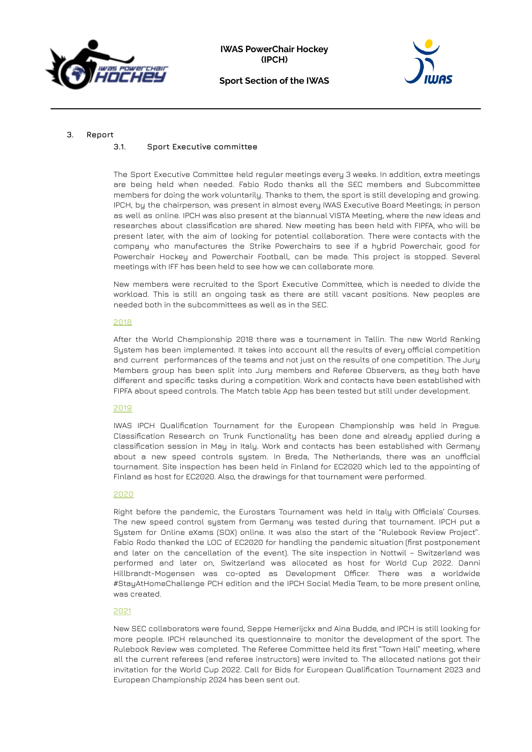



#### **3. Report**

#### **3.1. Sport Executive committee**

The Sport Executive Committee held regular meetings every 3 weeks. In addition, extra meetings are being held when needed. Fabio Rodo thanks all the SEC members and Subcommittee members for doing the work voluntarily. Thanks to them, the sport is still developing and growing. IPCH, by the chairperson, was present in almost every IWAS Executive Board Meetings; in person as well as online. IPCH was also present at the biannual VISTA Meeting, where the new ideas and researches about classification are shared. New meeting has been held with FIPFA, who will be present later, with the aim of looking for potential collaboration. There were contacts with the company who manufactures the Strike Powerchairs to see if a hybrid Powerchair, good for Powerchair Hockey and Powerchair Football, can be made. This project is stopped. Several meetings with IFF has been held to see how we can collaborate more.

New members were recruited to the Sport Executive Committee, which is needed to divide the workload. This is still an ongoing task as there are still vacant positions. New peoples are needed both in the subcommittees as well as in the SEC.

#### **2018**

After the World Championship 2018 there was a tournament in Tallin. The new World Ranking System has been implemented. It takes into account all the results of every official competition and current performances of the teams and not just on the results of one competition. The Jury Members group has been split into Jury members and Referee Observers, as they both have different and specific tasks during a competition. Work and contacts have been established with FIPFA about speed controls. The Match table App has been tested but still under development.

#### **2019**

IWAS IPCH Qualification Tournament for the European Championship was held in Prague. Classification Research on Trunk Functionality has been done and already applied during a classification session in May in Italy. Work and contacts has been established with Germany about a new speed controls system. In Breda, The Netherlands, there was an unofficial tournament. Site inspection has been held in Finland for EC2020 which led to the appointing of Finland as host for EC2020. Also, the drawings for that tournament were performed.

#### **2020**

Right before the pandemic, the Eurostars Tournament was held in Italy with Officials' Courses. The new speed control system from Germany was tested during that tournament. IPCH put a System for Online eXams (SOX) online. It was also the start of the "Rulebook Review Project". Fabio Rodo thanked the LOC of EC2020 for handling the pandemic situation (first postponement and later on the cancellation of the event). The site inspection in Nottwil – Switzerland was performed and later on, Switzerland was allocated as host for World Cup 2022. Danni Hillbrandt-Mogensen was co-opted as Development Officer. There was a worldwide #StayAtHomeChallenge PCH edition and the IPCH Social Media Team, to be more present online, was created.

#### **2021**

New SEC collaborators were found, Seppe Hemerijckx and Aina Budde, and IPCH is still looking for more people. IPCH relaunched its questionnaire to monitor the development of the sport. The Rulebook Review was completed. The Referee Committee held its first "Town Hall" meeting, where all the current referees (and referee instructors) were invited to. The allocated nations got their invitation for the World Cup 2022. Call for Bids for European Qualification Tournament 2023 and European Championship 2024 has been sent out.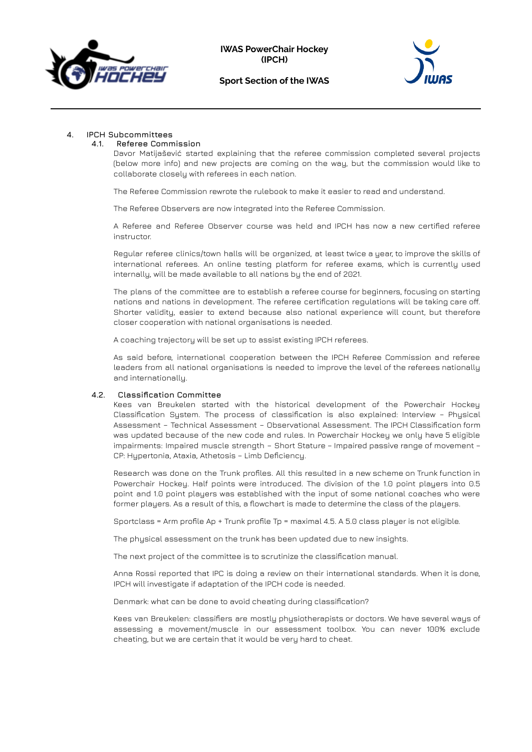



# **4. IPCH Subcommittees**

# **4.1. Referee Commission**

Davor Matijašević started explaining that the referee commission completed several projects (below more info) and new projects are coming on the way, but the commission would like to collaborate closely with referees in each nation.

The Referee Commission rewrote the rulebook to make it easier to read and understand.

The Referee Observers are now integrated into the Referee Commission.

A Referee and Referee Observer course was held and IPCH has now a new certified referee instructor.

Regular referee clinics/town halls will be organized, at least twice a year, to improve the skills of international referees. An online testing platform for referee exams, which is currently used internally, will be made available to all nations by the end of 2021.

The plans of the committee are to establish a referee course for beginners, focusing on starting nations and nations in development. The referee certification regulations will be taking care off. Shorter validity, easier to extend because also national experience will count, but therefore closer cooperation with national organisations is needed.

A coaching trajectory will be set up to assist existing IPCH referees.

As said before, international cooperation between the IPCH Referee Commission and referee leaders from all national organisations is needed to improve the level of the referees nationally and internationally.

#### **4.2. Classification Committee**

Kees van Breukelen started with the historical development of the Powerchair Hockey Classification System. The process of classification is also explained: Interview – Physical Assessment – Technical Assessment – Observational Assessment. The IPCH Classification form was updated because of the new code and rules. In Powerchair Hockey we only have 5 eligible impairments: Impaired muscle strength – Short Stature – Impaired passive range of movement – CP: Hypertonia, Ataxia, Athetosis – Limb Deficiency.

Research was done on the Trunk profiles. All this resulted in a new scheme on Trunk function in Powerchair Hockey. Half points were introduced. The division of the 1.0 point players into 0.5 point and 1.0 point players was established with the input of some national coaches who were former players. As a result of this, a flowchart is made to determine the class of the players.

Sportclass = Arm profile Ap + Trunk profile Tp = maximal 4.5. A 5.0 class player is not eligible.

The physical assessment on the trunk has been updated due to new insights.

The next project of the committee is to scrutinize the classification manual.

Anna Rossi reported that IPC is doing a review on their international standards. When it is done, IPCH will investigate if adaptation of the IPCH code is needed.

Denmark: what can be done to avoid cheating during classification?

Kees van Breukelen: classifiers are mostly physiotherapists or doctors. We have several ways of assessing a movement/muscle in our assessment toolbox. You can never 100% exclude cheating, but we are certain that it would be very hard to cheat.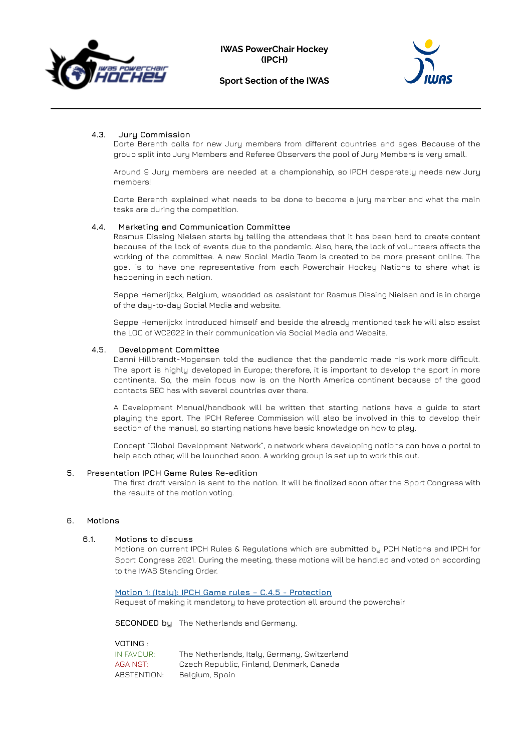



# **4.3. Jury Commission**

Dorte Berenth calls for new Jury members from different countries and ages. Because of the group split into Jury Members and Referee Observers the pool of Jury Members is very small.

Around 9 Jury members are needed at a championship, so IPCH desperately needs new Jury members!

Dorte Berenth explained what needs to be done to become a jury member and what the main tasks are during the competition.

#### **4.4. Marketing and Communication Committee**

Rasmus Dissing Nielsen starts by telling the attendees that it has been hard to create content because of the lack of events due to the pandemic. Also, here, the lack of volunteers affects the working of the committee. A new Social Media Team is created to be more present online. The goal is to have one representative from each Powerchair Hockey Nations to share what is happening in each nation.

Seppe Hemerijckx, Belgium, wasadded as assistant for Rasmus Dissing Nielsen and is in charge of the day-to-day Social Media and website.

Seppe Hemerijckx introduced himself and beside the already mentioned task he will also assist the LOC of WC2022 in their communication via Social Media and Website.

#### **4.5. Development Committee**

Danni Hillbrandt-Mogensen told the audience that the pandemic made his work more difficult. The sport is highly developed in Europe; therefore, it is important to develop the sport in more continents. So, the main focus now is on the North America continent because of the good contacts SEC has with several countries over there.

A Development Manual/handbook will be written that starting nations have a guide to start playing the sport. The IPCH Referee Commission will also be involved in this to develop their section of the manual, so starting nations have basic knowledge on how to play.

Concept "Global Development Network", a network where developing nations can have a portal to help each other, will be launched soon. A working group is set up to work this out.

#### **5. Presentation IPCH Game Rules Re-edition**

The first draft version is sent to the nation. It will be finalized soon after the Sport Congress with the results of the motion voting.

#### **6. Motions**

#### **6.1. Motions to discuss**

Motions on current IPCH Rules & Regulations which are submitted by PCH Nations and IPCH for Sport Congress 2021. During the meeting, these motions will be handled and voted on according to the IWAS Standing Order.

**Motion 1: (Italy): IPCH Game rules – C.4.5 - Protection** Request of making it mandatory to have protection all around the powerchair

**SECONDED by** The Netherlands and Germany.

**VOTING** :

| IN FAVOUR:  | The Netherlands, Italy, Germany, Switzerland |
|-------------|----------------------------------------------|
| AGAINST:    | Czech Republic, Finland, Denmark, Canada     |
| ABSTENTION: | Belgium, Spain                               |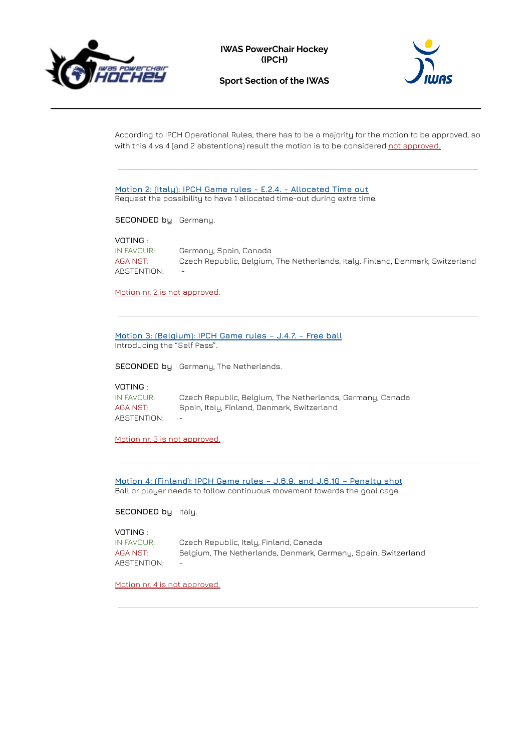

**IWAS PowerChair Hockey (IPCH)**





According to IPCH Operational Rules, there has to be a majority for the motion to be approved, so with this 4 vs 4 (and 2 abstentions) result the motion is to be considered not approved.

|                                                          | Motion 2: (Italy): IPCH Game rules - E.2.4. - Allocated Time out<br>Request the possibility to have 1 allocated time-out during extra time.                  |  |  |  |  |  |  |
|----------------------------------------------------------|--------------------------------------------------------------------------------------------------------------------------------------------------------------|--|--|--|--|--|--|
| <b>SECONDED by</b> Germany.                              |                                                                                                                                                              |  |  |  |  |  |  |
| VOTING :<br>IN FAVOUR:<br><b>AGAINST:</b><br>ABSTENTION: | Germany, Spain, Canada<br>Czech Republic, Belgium, The Netherlands, Italy, Finland, Denmark, Switzerland                                                     |  |  |  |  |  |  |
| Motion nr. 2 is not approved.                            |                                                                                                                                                              |  |  |  |  |  |  |
| Introducing the "Self Pass".                             | Motion 3: (Belgium): IPCH Game rules - J.4.7. - Free ball<br>SECONDED by Germany, The Netherlands.                                                           |  |  |  |  |  |  |
| VOTING :<br>IN FAVOUR:<br><b>AGAINST:</b><br>ABSTENTION: | Czech Republic, Belgium, The Netherlands, Germany, Canada<br>Spain, Italy, Finland, Denmark, Switzerland                                                     |  |  |  |  |  |  |
| Motion nr. 3 is not approved.                            |                                                                                                                                                              |  |  |  |  |  |  |
|                                                          | <u> Motion 4: (Finland): IPCH Game rules - J.6.9. and J.6.10 - Penalty shot</u><br>Ball or player needs to follow continuous movement towards the goal cage. |  |  |  |  |  |  |
| <b>SECONDED by Italy.</b>                                |                                                                                                                                                              |  |  |  |  |  |  |
|                                                          |                                                                                                                                                              |  |  |  |  |  |  |

**VOTING** : IN FAVOUR: Czech Republic, Italy, Finland, Canada AGAINST: Belgium, The Netherlands, Denmark, Germany, Spain, Switzerland ABSTENTION: -

Motion nr. 4 is not approved.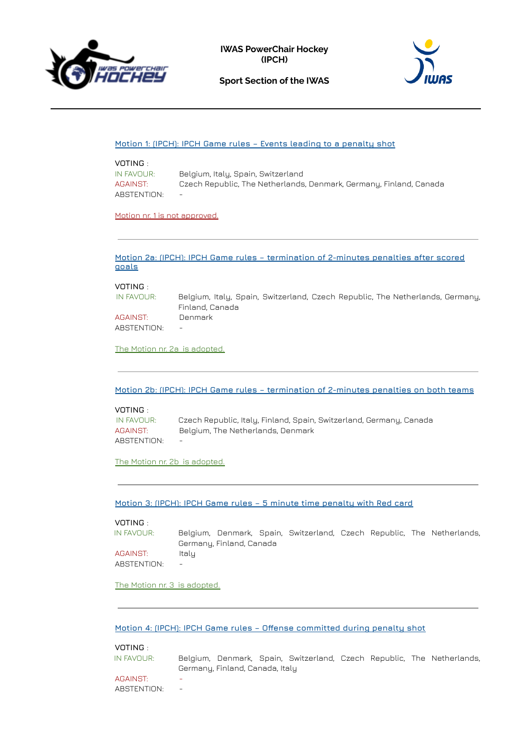





# **Motion 1: (IPCH): IPCH Game rules – Events leading to a penalty shot**

| VOTING :    |                                                                    |
|-------------|--------------------------------------------------------------------|
| IN FAVOUR:  | Belgium, Italy, Spain, Switzerland                                 |
| AGAINST:    | Czech Republic, The Netherlands, Denmark, Germany, Finland, Canada |
| ABSTENTION: |                                                                    |

Motion nr. 1 is not approved.

#### **Motion 2a: (IPCH): IPCH Game rules – termination of 2-minutes penalties after scored goals**

#### **VOTING** :

| IN FAVOUR:  | Belgium, Italy, Spain, Switzerland, Czech Republic, The Netherlands, Germany, |
|-------------|-------------------------------------------------------------------------------|
|             | Finland, Canada                                                               |
| AGAINST:    | Denmark                                                                       |
| ABSTENTION: | $\overline{\phantom{0}}$                                                      |

The Motion nr. 2a is adopted.

**Motion 2b: (IPCH): IPCH Game rules – termination of 2-minutes penalties on both teams**

# **VOTING** :

| IN FAVOUR:  | Czech Republic, Italy, Finland, Spain, Switzerland, Germany, Canada |
|-------------|---------------------------------------------------------------------|
| AGAINST:    | Belgium, The Netherlands, Denmark                                   |
| ABSTENTION: | $\overline{\phantom{0}}$                                            |

The Motion nr. 2b is adopted.

**Motion 3: (IPCH): IPCH Game rules – 5 minute time penalty with Red card**

### **VOTING** :

| IN FAVOUR:  |                          |                          |  |  | Belgium, Denmark, Spain, Switzerland, Czech Republic, The Netherlands, |
|-------------|--------------------------|--------------------------|--|--|------------------------------------------------------------------------|
|             |                          | Germany, Finland, Canada |  |  |                                                                        |
| AGAINST:    | Italu                    |                          |  |  |                                                                        |
| ABSTENTION: | $\overline{\phantom{m}}$ |                          |  |  |                                                                        |

### The Motion nr. 3 is adopted.

**Motion 4: (IPCH): IPCH Game rules – Offense committed during penalty shot**

# **VOTING** :

| IN FAVOUR: |                          |                                 |  |  | Belgium, Denmark, Spain, Switzerland, Czech Republic, The Netherlands, |
|------------|--------------------------|---------------------------------|--|--|------------------------------------------------------------------------|
|            |                          | Germany, Finland, Canada, Italy |  |  |                                                                        |
| AGAINST:   | $\overline{\phantom{0}}$ |                                 |  |  |                                                                        |

# ABSTENTION: -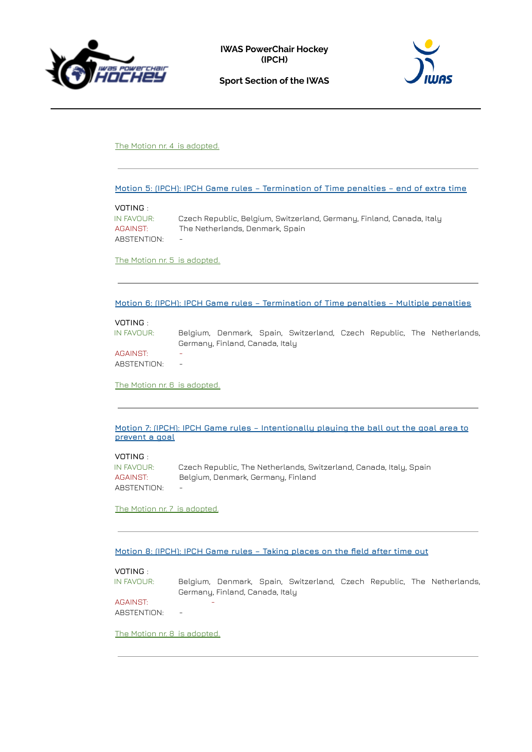



# The Motion nr. 4 is adopted.

**Motion 5: (IPCH): IPCH Game rules – Termination of Time penalties – end of extra time**

#### **VOTING** :

| IN FAVOUR:  | Czech Republic, Belgium, Switzerland, Germany, Finland, Canada, Italy |
|-------------|-----------------------------------------------------------------------|
| AGAINST:    | The Netherlands, Denmark, Spain                                       |
| ABSTENTION: |                                                                       |

The Motion nr. 5 is adopted.

#### **Motion 6: (IPCH): IPCH Game rules – Termination of Time penalties – Multiple penalties**

# **VOTING** :

| IN FAVOUR:  |                                 |  |  |  |  |  |  | Belgium, Denmark, Spain, Switzerland, Czech Republic, The Netherlands, |
|-------------|---------------------------------|--|--|--|--|--|--|------------------------------------------------------------------------|
|             | Germany, Finland, Canada, Italy |  |  |  |  |  |  |                                                                        |
| AGAINST:    | ۰                               |  |  |  |  |  |  |                                                                        |
| ABSTENTION: | $\overline{\phantom{a}}$        |  |  |  |  |  |  |                                                                        |

The Motion nr. 6 is adopted.

**Motion 7: (IPCH): IPCH Game rules – Intentionally playing the ball out the goal area to prevent a goal**

# **VOTING** :

| IN FAVOUR:  | Czech Republic, The Netherlands, Switzerland, Canada, Italy, Spain |
|-------------|--------------------------------------------------------------------|
| AGAINST:    | Belgium, Denmark, Germany, Finland                                 |
| ABSTENTION: |                                                                    |

The Motion nr. 7 is adopted.

# **Motion 8: (IPCH): IPCH Game rules – Taking places on the field after time out**

#### **VOTING** :

| IN FAVOUR:  |                                 |  |  |  |  |  |  | Belgium, Denmark, Spain, Switzerland, Czech Republic, The Netherlands, |
|-------------|---------------------------------|--|--|--|--|--|--|------------------------------------------------------------------------|
|             | Germany, Finland, Canada, Italy |  |  |  |  |  |  |                                                                        |
| AGAINST:    |                                 |  |  |  |  |  |  |                                                                        |
| ABSTENTION: | $\overline{\phantom{a}}$        |  |  |  |  |  |  |                                                                        |

The Motion nr. 8 is adopted.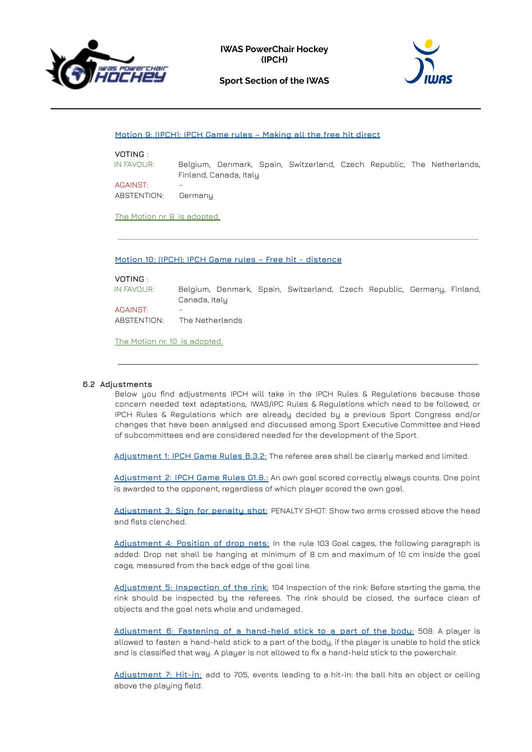





#### **Motion 9: (IPCH): IPCH Game rules – Making all the free hit direct**

# **VOTING** :

IN FAVOUR: Belgium, Denmark, Spain, Switzerland, Czech Republic, The Netherlands, Finland, Canada, Italy **AGAINST:** 

ABSTENTION: Germany

The Motion nr. 9 is adopted.

**Motion 10: (IPCH): IPCH Game rules – Free hit - distance**

#### **VOTING** :

IN FAVOUR: Belgium, Denmark, Spain, Switzerland, Czech Republic, Germany, Finland, Canada, Italy

**AGAINST** ABSTENTION: The Netherlands

The Motion nr. 10 is adopted.

#### **6.2 Adjustments**

Below you find adjustments IPCH will take in the IPCH Rules & Regulations because those concern needed text adaptations, IWAS/IPC Rules & Regulations which need to be followed, or IPCH Rules & Regulations which are already decided by a previous Sport Congress and/or changes that have been analysed and discussed among Sport Executive Committee and Head of subcommittees and are considered needed for the development of the Sport.

**Adjustment 1: IPCH Game Rules B.3.2:** The referee area shall be clearly marked and limited.

**Adjustment 2: IPCH Game Rules G1.8.:** An own goal scored correctly always counts. One point is awarded to the opponent, regardless of which player scored the own goal.

**Adjustment 3: Sign for penalty shot:** PENALTY SHOT: Show two arms crossed above the head and fists clenched.

**Adjustment 4: Position of drop nets:** In the rule 103 Goal cages, the following paragraph is added: Drop net shall be hanging at minimum of 8 cm and maximum of 10 cm inside the goal cage, measured from the back edge of the goal line.

**Adjustment 5: Inspection of the rink:** 104 Inspection of the rink: Before starting the game, the rink should be inspected by the referees. The rink should be closed, the surface clean of objects and the goal nets whole and undamaged.

**Adjustment 6: Fastening of a hand-held stick to a part of the body:** 508: A player is allowed to fasten a hand-held stick to a part of the body, if the player is unable to hold the stick and is classified that way. A player is not allowed to fix a hand-held stick to the powerchair.

**Adjustment 7: Hit-in:** add to 705, events leading to a hit-in: the ball hits an object or ceiling above the playing field.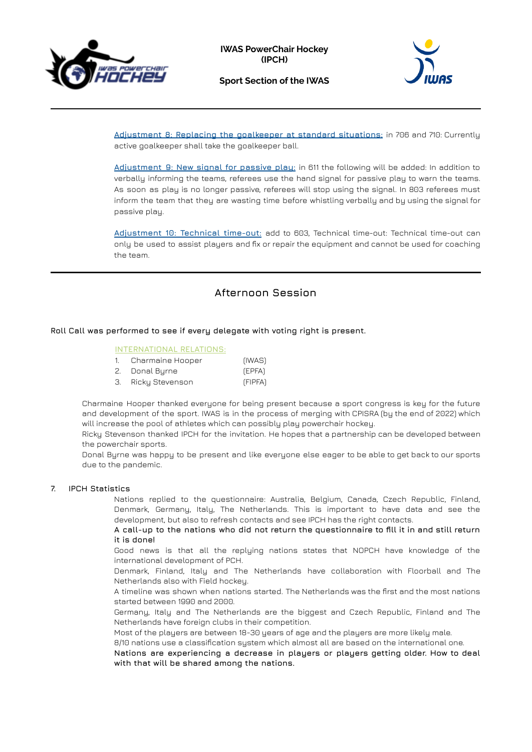





**Adjustment 8: Replacing the goalkeeper at standard situations:** in 706 and 710: Currently active goalkeeper shall take the goalkeeper ball.

**Adjustment 9: New signal for passive play:** in 611 the following will be added: In addition to verbally informing the teams, referees use the hand signal for passive play to warn the teams. As soon as play is no longer passive, referees will stop using the signal. In 803 referees must inform the team that they are wasting time before whistling verbally and by using the signal for passive play.

**Adjustment 10: Technical time-out:** add to 603, Technical time-out: Technical time-out can only be used to assist players and fix or repair the equipment and cannot be used for coaching the team.

# **Afternoon Session**

# **Roll Call was performed to see if every delegate with voting right is present.**

# **INTERNATIONAL RELATIONS:**

| Charmaine Hooper | (IWAS) |
|------------------|--------|
| Donal Burne      | (EPFA) |

3. Ricky Stevenson (FIPFA)

Charmaine Hooper thanked everyone for being present because a sport congress is key for the future and development of the sport. IWAS is in the process of merging with CPISRA (by the end of 2022) which will increase the pool of athletes which can possibly play powerchair hockey.

Ricky Stevenson thanked IPCH for the invitation. He hopes that a partnership can be developed between the powerchair sports.

Donal Byrne was happy to be present and like everyone else eager to be able to get back to our sports due to the pandemic.

#### **7. IPCH Statistics**

Nations replied to the questionnaire: Australia, Belgium, Canada, Czech Republic, Finland, Denmark, Germany, Italy, The Netherlands. This is important to have data and see the development, but also to refresh contacts and see IPCH has the right contacts.

**A call-up to the nations who did not return the questionnaire to fill it in and still return it is done!**

Good news is that all the replying nations states that NOPCH have knowledge of the international development of PCH.

Denmark, Finland, Italy and The Netherlands have collaboration with Floorball and The Netherlands also with Field hockey.

A timeline was shown when nations started. The Netherlands was the first and the most nations started between 1990 and 2000.

Germany, Italy and The Netherlands are the biggest and Czech Republic, Finland and The Netherlands have foreign clubs in their competition.

Most of the players are between 18-30 years of age and the players are more likely male.

8/10 nations use a classification system which almost all are based on the international one. **Nations are experiencing a decrease in players or players getting older. How to deal with that will be shared among the nations.**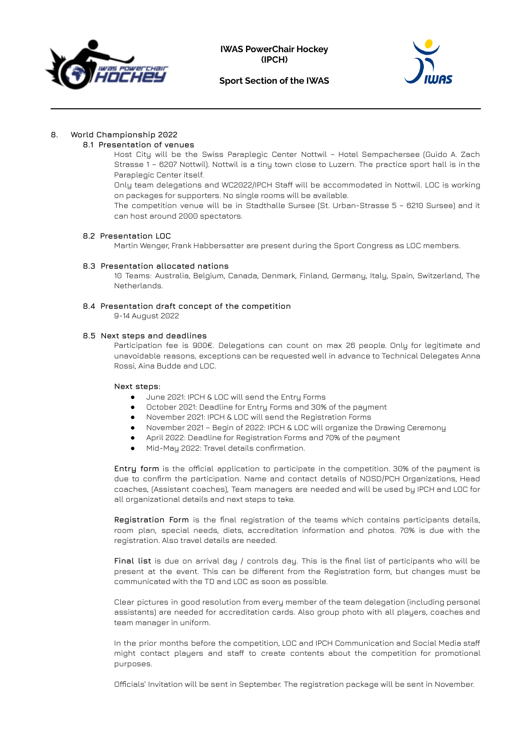



# **8. World Championship 2022**

### **8.1 Presentation of venues**

Host City will be the Swiss Paraplegic Center Nottwil – Hotel Sempachersee (Guido A. Zach Strasse 1 – 6207 Nottwil). Nottwil is a tiny town close to Luzern. The practice sport hall is in the Paraplegic Center itself.

Only team delegations and WC2022/IPCH Staff will be accommodated in Nottwil. LOC is working on packages for supporters. No single rooms will be available.

The competition venue will be in Stadthalle Sursee (St. Urban-Strasse 5 – 6210 Sursee) and it can host around 2000 spectators.

#### **8.2 Presentation LOC**

Martin Wenger, Frank Habbersatter are present during the Sport Congress as LOC members.

#### **8.3 Presentation allocated nations**

10 Teams: Australia, Belgium, Canada, Denmark, Finland, Germany, Italy, Spain, Switzerland, The Netherlands.

# **8.4 Presentation draft concept of the competition**

9-14 August 2022

#### **8.5 Next steps and deadlines**

Participation fee is 900€. Delegations can count on max 26 people. Only for legitimate and unavoidable reasons, exceptions can be requested well in advance to Technical Delegates Anna Rossi, Aina Budde and LOC.

#### **Next steps:**

- June 2021: IPCH & LOC will send the Entry Forms
- October 2021: Deadline for Entry Forms and 30% of the payment
- November 2021: IPCH & LOC will send the Registration Forms
- November 2021 Begin of 2022: IPCH & LOC will organize the Drawing Ceremony
- April 2022: Deadline for Registration Forms and 70% of the payment
- Mid-May 2022: Travel details confirmation.

**Entry form** is the official application to participate in the competition. 30% of the payment is due to confirm the participation. Name and contact details of NOSD/PCH Organizations, Head coaches, (Assistant coaches), Team managers are needed and will be used by IPCH and LOC for all organizational details and next steps to take.

**Registration Form** is the final registration of the teams which contains participants details, room plan, special needs, diets, accreditation information and photos. 70% is due with the registration. Also travel details are needed.

**Final list** is due on arrival day / controls day. This is the final list of participants who will be present at the event. This can be different from the Registration form, but changes must be communicated with the TD and LOC as soon as possible.

Clear pictures in good resolution from every member of the team delegation (including personal assistants) are needed for accreditation cards. Also group photo with all players, coaches and team manager in uniform.

In the prior months before the competition, LOC and IPCH Communication and Social Media staff might contact players and staff to create contents about the competition for promotional purposes.

Officials' Invitation will be sent in September. The registration package will be sent in November.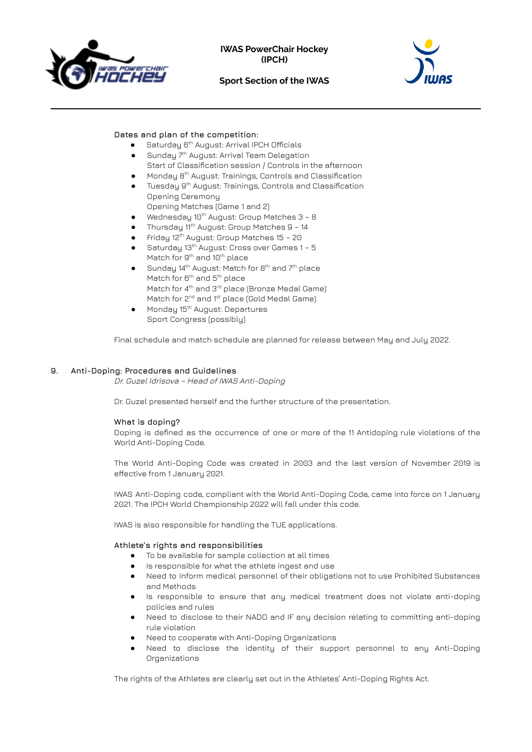



# **Dates and plan of the competition:**

- Saturday 6<sup>th</sup> August: Arrival IPCH Officials
- Sunday 7<sup>th</sup> August: Arrival Team Delegation Start of Classification session / Controls in the afternoon
- Monday 8<sup>th</sup> August: Trainings, Controls and Classification
- Tuesday 9 th August: Trainings, Controls and Classification Opening Ceremony
- Opening Matches (Game 1 and 2)
- $\bullet$  Wednesday 10<sup>th</sup> August: Group Matches  $3 8$
- $\bullet$  Thursday 11<sup>th</sup> August: Group Matches 9 14
- Friday 12<sup>th</sup> August: Group Matches 15 20 ● Saturday 13<sup>th</sup> August: Cross over Games 1 - 5
- Match for 9<sup>th</sup> and 10<sup>th</sup> place  $\bullet$  Sunday 14<sup>th</sup> August: Match for 8<sup>th</sup> and 7<sup>th</sup> place
- Match for 6<sup>th</sup> and 5<sup>th</sup> place Match for 4<sup>th</sup> and 3<sup>rd</sup> place (Bronze Medal Game) Match for 2<sup>nd</sup> and 1<sup>st</sup> place (Gold Medal Game) ● Monday 15<sup>th</sup> August: Departures
- Sport Congress (possibly)

Final schedule and match schedule are planned for release between May and July 2022.

# **9. Anti-Doping: Procedures and Guidelines**

Dr. Guzel Idrisova – Head of IWAS Anti-Doping

Dr. Guzel presented herself and the further structure of the presentation.

#### **What is doping?**

Doping is defined as the occurrence of one or more of the 11 Antidoping rule violations of the World Anti-Doping Code.

The World Anti-Doping Code was created in 2003 and the last version of November 2019 is effective from 1 January 2021.

IWAS Anti-Doping code, compliant with the World Anti-Doping Code, came into force on 1 January 2021. The IPCH World Championship 2022 will fall under this code.

IWAS is also responsible for handling the TUE applications.

#### **Athlete's rights and responsibilities**

- To be available for sample collection at all times
- Is responsible for what the athlete ingest and use
- Need to inform medical personnel of their obligations not to use Prohibited Substances and Methods
- Is responsible to ensure that any medical treatment does not violate anti-doping policies and rules
- Need to disclose to their NADO and IF any decision relating to committing anti-doping rule violation
- Need to cooperate with Anti-Doping Organizations
- Need to disclose the identity of their support personnel to any Anti-Doping Organizations

The rights of the Athletes are clearly set out in the Athletes' Anti-Doping Rights Act.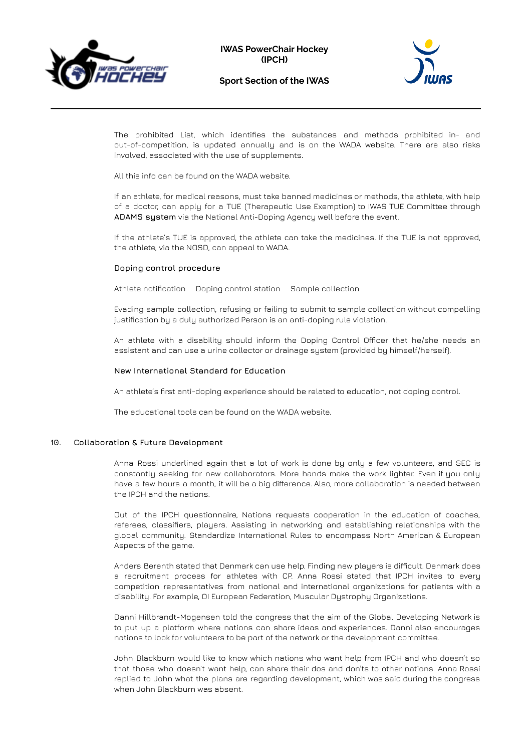



The prohibited List, which identifies the substances and methods prohibited in- and out-of-competition, is updated annually and is on the WADA website. There are also risks involved, associated with the use of supplements.

All this info can be found on the WADA website.

If an athlete, for medical reasons, must take banned medicines or methods, the athlete, with help of a doctor, can apply for a TUE (Therapeutic Use Exemption) to IWAS TUE Committee through **ADAMS system** via the National Anti-Doping Agency well before the event.

If the athlete's TUE is approved, the athlete can take the medicines. If the TUE is not approved, the athlete, via the NOSD, can appeal to WADA.

# **Doping control procedure**

Athlete notification Doping control station Sample collection

Evading sample collection, refusing or failing to submit to sample collection without compelling justification by a duly authorized Person is an anti-doping rule violation.

An athlete with a disability should inform the Doping Control Officer that he/she needs an assistant and can use a urine collector or drainage system (provided by himself/herself).

# **New International Standard for Education**

An athlete's first anti-doping experience should be related to education, not doping control.

The educational tools can be found on the WADA website.

#### **10. Collaboration & Future Development**

Anna Rossi underlined again that a lot of work is done by only a few volunteers, and SEC is constantly seeking for new collaborators. More hands make the work lighter. Even if you only have a few hours a month, it will be a big difference. Also, more collaboration is needed between the IPCH and the nations.

Out of the IPCH questionnaire, Nations requests cooperation in the education of coaches, referees, classifiers, players. Assisting in networking and establishing relationships with the global community. Standardize International Rules to encompass North American & European Aspects of the game.

Anders Berenth stated that Denmark can use help. Finding new players is difficult. Denmark does a recruitment process for athletes with CP. Anna Rossi stated that IPCH invites to every competition representatives from national and international organizations for patients with a disability. For example, OI European Federation, Muscular Dystrophy Organizations.

Danni Hillbrandt-Mogensen told the congress that the aim of the Global Developing Network is to put up a platform where nations can share ideas and experiences. Danni also encourages nations to look for volunteers to be part of the network or the development committee.

John Blackburn would like to know which nations who want help from IPCH and who doesn't so that those who doesn't want help, can share their dos and don'ts to other nations. Anna Rossi replied to John what the plans are regarding development, which was said during the congress when John Blackburn was absent.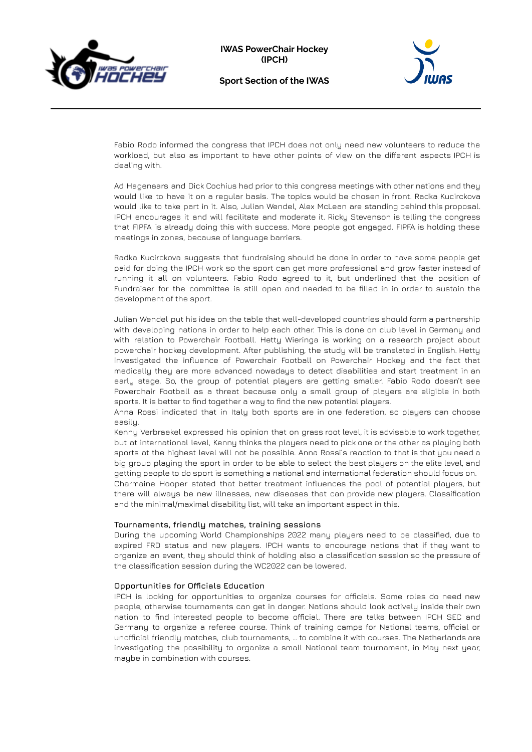



Fabio Rodo informed the congress that IPCH does not only need new volunteers to reduce the workload, but also as important to have other points of view on the different aspects IPCH is dealing with.

Ad Hagenaars and Dick Cochius had prior to this congress meetings with other nations and they would like to have it on a regular basis. The topics would be chosen in front. Radka Kucirckova would like to take part in it. Also, Julian Wendel, Alex McLean are standing behind this proposal. IPCH encourages it and will facilitate and moderate it. Ricky Stevenson is telling the congress that FIPFA is already doing this with success. More people got engaged. FIPFA is holding these meetings in zones, because of language barriers.

Radka Kucirckova suggests that fundraising should be done in order to have some people get paid for doing the IPCH work so the sport can get more professional and grow faster instead of running it all on volunteers. Fabio Rodo agreed to it, but underlined that the position of Fundraiser for the committee is still open and needed to be filled in in order to sustain the development of the sport.

Julian Wendel put his idea on the table that well-developed countries should form a partnership with developing nations in order to help each other. This is done on club level in Germany and with relation to Powerchair Football. Hetty Wieringa is working on a research project about powerchair hockey development. After publishing, the study will be translated in English. Hetty investigated the influence of Powerchair Football on Powerchair Hockey and the fact that medically they are more advanced nowadays to detect disabilities and start treatment in an early stage. So, the group of potential players are getting smaller. Fabio Rodo doesn't see Powerchair Football as a threat because only a small group of players are eligible in both sports. It is better to find together a way to find the new potential players.

Anna Rossi indicated that in Italy both sports are in one federation, so players can choose easily.

Kenny Verbraekel expressed his opinion that on grass root level, it is advisable to work together, but at international level, Kenny thinks the players need to pick one or the other as playing both sports at the highest level will not be possible. Anna Rossi's reaction to that is that you need a big group playing the sport in order to be able to select the best players on the elite level, and getting people to do sport is something a national and international federation should focus on.

Charmaine Hooper stated that better treatment influences the pool of potential players, but there will always be new illnesses, new diseases that can provide new players. Classification and the minimal/maximal disability list, will take an important aspect in this.

#### **Tournaments, friendly matches, training sessions**

During the upcoming World Championships 2022 many players need to be classified, due to expired FRD status and new players. IPCH wants to encourage nations that if they want to organize an event, they should think of holding also a classification session so the pressure of the classification session during the WC2022 can be lowered.

#### **Opportunities for Officials Education**

IPCH is looking for opportunities to organize courses for officials. Some roles do need new people, otherwise tournaments can get in danger. Nations should look actively inside their own nation to find interested people to become official. There are talks between IPCH SEC and Germany to organize a referee course. Think of training camps for National teams, official or unofficial friendly matches, club tournaments, … to combine it with courses. The Netherlands are investigating the possibility to organize a small National team tournament, in May next year, maybe in combination with courses.